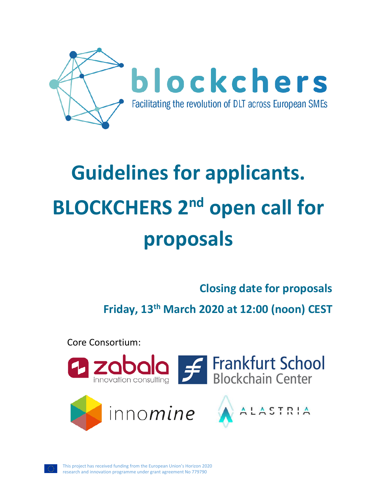

# **Guidelines for applicants. BLOCKCHERS** 2<sup>nd</sup> open call for **proposals**

# **Closing date for proposals**

**Friday, 13th March 2020 at 12:00 (noon) CEST**

Core Consortium:





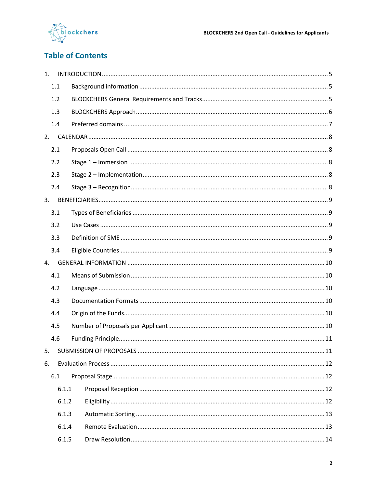

# **Table of Contents**

| 1.  |       |  |  |  |  |
|-----|-------|--|--|--|--|
| 1.1 |       |  |  |  |  |
| 1.2 |       |  |  |  |  |
| 1.3 |       |  |  |  |  |
| 1.4 |       |  |  |  |  |
|     |       |  |  |  |  |
| 2.1 |       |  |  |  |  |
| 2.2 |       |  |  |  |  |
| 2.3 |       |  |  |  |  |
| 2.4 |       |  |  |  |  |
| 3.  |       |  |  |  |  |
| 3.1 |       |  |  |  |  |
| 3.2 |       |  |  |  |  |
| 3.3 |       |  |  |  |  |
| 3.4 |       |  |  |  |  |
| 4.  |       |  |  |  |  |
| 4.1 |       |  |  |  |  |
| 4.2 |       |  |  |  |  |
| 4.3 |       |  |  |  |  |
| 4.4 |       |  |  |  |  |
| 4.5 |       |  |  |  |  |
| 4.6 |       |  |  |  |  |
| 5.  |       |  |  |  |  |
| 6.  |       |  |  |  |  |
| 6.1 |       |  |  |  |  |
|     | 6.1.1 |  |  |  |  |
|     | 6.1.2 |  |  |  |  |
|     | 6.1.3 |  |  |  |  |
|     | 6.1.4 |  |  |  |  |
|     | 6.1.5 |  |  |  |  |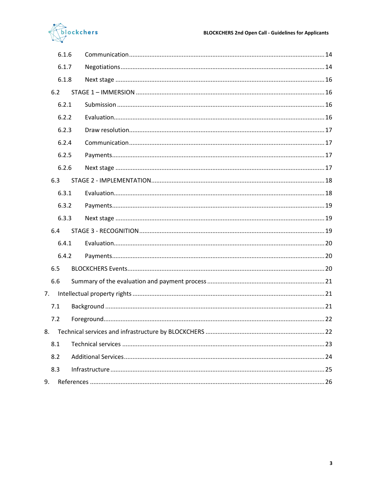

| 6.1.6 |  |
|-------|--|
| 6.1.7 |  |
| 6.1.8 |  |
| 6.2   |  |
| 6.2.1 |  |
| 6.2.2 |  |
| 6.2.3 |  |
| 6.2.4 |  |
| 6.2.5 |  |
| 6.2.6 |  |
| 6.3   |  |
| 6.3.1 |  |
| 6.3.2 |  |
| 6.3.3 |  |
| 6.4   |  |
| 6.4.1 |  |
| 6.4.2 |  |
| 6.5   |  |
| 6.6   |  |
| 7.    |  |
| 7.1   |  |
| 7.2   |  |
| 8.    |  |
| 8.1   |  |
| 8.2   |  |
| 8.3   |  |
| 9.    |  |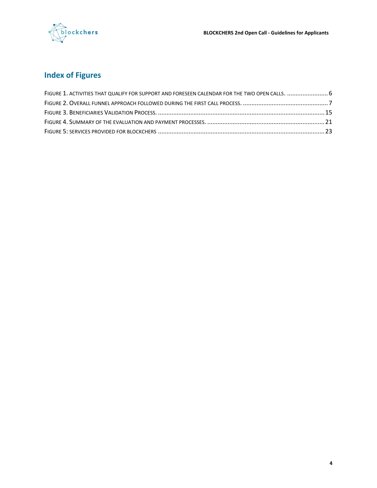

# **Index of Figures**

| FIGURE 1. ACTIVITIES THAT QUALIFY FOR SUPPORT AND FORESEEN CALENDAR FOR THE TWO OPEN CALLS.  6 |  |
|------------------------------------------------------------------------------------------------|--|
|                                                                                                |  |
|                                                                                                |  |
|                                                                                                |  |
|                                                                                                |  |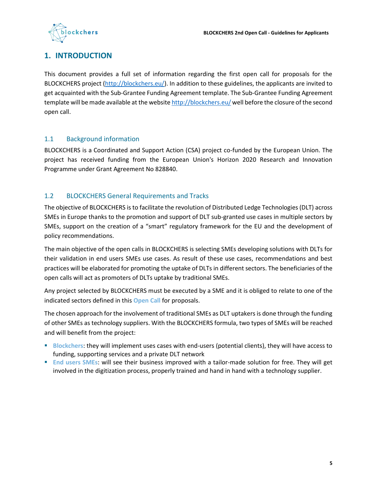

# <span id="page-4-0"></span>**1. INTRODUCTION**

This document provides a full set of information regarding the first open call for proposals for the BLOCKCHERS project (http://blockchers.eu/). In addition to these guidelines, the applicants are invited to get acquainted with the Sub-Grantee Funding Agreement template. The Sub-Grantee Funding Agreement template will be made available at the website <http://blockchers.eu/> well before the closure of the second open call.

#### <span id="page-4-1"></span>1.1 Background information

BLOCKCHERS is a Coordinated and Support Action (CSA) project co-funded by the European Union. The project has received funding from the European Union's Horizon 2020 Research and Innovation Programme under Grant Agreement No 828840.

#### <span id="page-4-2"></span>1.2 BLOCKCHERS General Requirements and Tracks

The objective of BLOCKCHERS is to facilitate the revolution of Distributed Ledge Technologies (DLT) across SMEs in Europe thanks to the promotion and support of DLT sub-granted use cases in multiple sectors by SMEs, support on the creation of a "smart" regulatory framework for the EU and the development of policy recommendations.

The main objective of the open calls in BLOCKCHERS is selecting SMEs developing solutions with DLTs for their validation in end users SMEs use cases. As result of these use cases, recommendations and best practices will be elaborated for promoting the uptake of DLTs in different sectors. The beneficiaries of the open calls will act as promoters of DLTs uptake by traditional SMEs.

Any project selected by BLOCKCHERS must be executed by a SME and it is obliged to relate to one of the indicated sectors defined in this **Open Call** for proposals.

The chosen approach for the involvement of traditional SMEs as DLT uptakers is done through the funding of other SMEs as technology suppliers. With the BLOCKCHERS formula, two types of SMEs will be reached and will benefit from the project:

- **Blockchers**: they will implement uses cases with end-users (potential clients), they will have access to funding, supporting services and a private DLT network
- **End users SMEs**: will see their business improved with a tailor-made solution for free. They will get involved in the digitization process, properly trained and hand in hand with a technology supplier.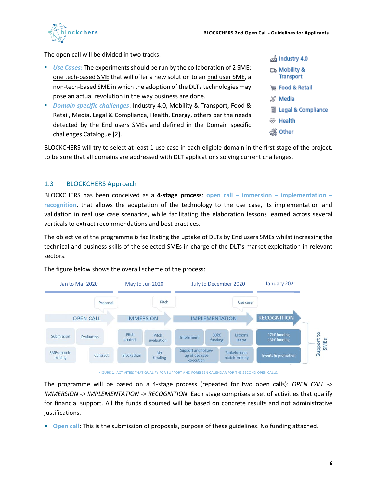

The open call will be divided in two tracks:

- *Use Cases:* The experiments should be run by the collaboration of 2 SME: one tech-based SME that will offer a new solution to an End user SME, a non-tech-based SME in which the adoption of the DLTs technologies may pose an actual revolution in the way business are done.
- *Domain specific challenges*: Industry 4.0, Mobility & Transport, Food & Retail, Media, Legal & Compliance, Health, Energy, others per the needs detected by the End users SMEs and defined in the Domain specific challenges Catalogue [2].

| ഷ്ടി Industry 4.0                |
|----------------------------------|
| & Mobility س<br><b>Transport</b> |
| <b>WE Food &amp; Retail</b>      |
| ж <sup>е</sup> Media             |
| <b>圖</b> Legal & Compliance      |
| ⊛ Health                         |
| ණී Other                         |

BLOCKCHERS will try to select at least 1 use case in each eligible domain in the first stage of the project, to be sure that all domains are addressed with DLT applications solving current challenges.

#### <span id="page-5-0"></span>1.3 BLOCKCHERS Approach

BLOCKCHERS has been conceived as a **4-stage process**: **open call – immersion – implementation – recognition**, that allows the adaptation of the technology to the use case, its implementation and validation in real use case scenarios, while facilitating the elaboration lessons learned across several verticals to extract recommendations and best practices.

The objective of the programme is facilitating the uptake of DLTs by End users SMEs whilst increasing the technical and business skills of the selected SMEs in charge of the DLT's market exploitation in relevant sectors.



The figure below shows the overall scheme of the process:

FIGURE 1. ACTIVITIES THAT QUALIFY FOR SUPPORT AND FORESEEN CALENDAR FOR THE SECOND OPEN CALLS.

<span id="page-5-1"></span>The programme will be based on a 4-stage process (repeated for two open calls): *OPEN CALL -> IMMERSION -> IMPLEMENTATION -> RECOGNITION*. Each stage comprises a set of activities that qualify for financial support. All the funds disbursed will be based on concrete results and not administrative justifications.

**• Open call:** This is the submission of proposals, purpose of these guidelines. No funding attached.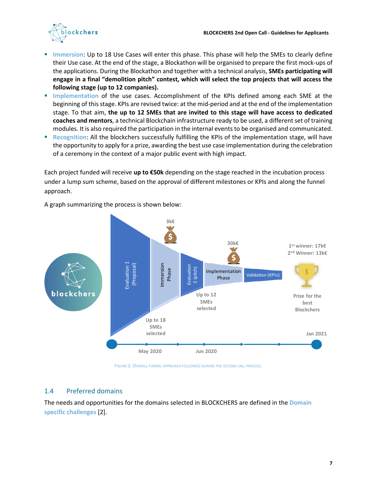

- Immersion: Up to 18 Use Cases will enter this phase. This phase will help the SMEs to clearly define their Use case. At the end of the stage, a Blockathon will be organised to prepare the first mock-ups of the applications. During the Blockathon and together with a technical analysis, **SMEs participating will engage in a final "demolition pitch" contest, which will select the top projects that will access the following stage (up to 12 companies).**
- **Implementation** of the use cases. Accomplishment of the KPIs defined among each SME at the beginning of this stage. KPIs are revised twice: at the mid-period and at the end of the implementation stage. To that aim, **the up to 12 SMEs that are invited to this stage will have access to dedicated coaches and mentors**, a technical Blockchain infrastructure ready to be used, a different set of training modules. It is also required the participation in the internal events to be organised and communicated.
- **Recognition:** All the blockchers successfully fulfilling the KPIs of the implementation stage, will have the opportunity to apply for a prize, awarding the best use case implementation during the celebration of a ceremony in the context of a major public event with high impact.

Each project funded will receive **up to €50k** depending on the stage reached in the incubation process under a lump sum scheme, based on the approval of different milestones or KPIs and along the funnel approach.



A graph summarizing the process is shown below:

FIGURE 2. OVERALL FUNNEL APPROACH FOLLOWED DURING THE SECOND CALL PROCESS.

#### <span id="page-6-1"></span><span id="page-6-0"></span>1.4 Preferred domains

The needs and opportunities for the domains selected in BLOCKCHERS are defined in the **Domain**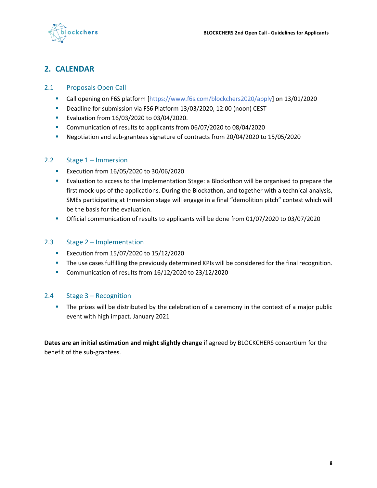

# <span id="page-7-0"></span>**2. CALENDAR**

#### 2.1 Proposals Open Call

- <span id="page-7-1"></span>▪ Call opening on F6S platform [\[h](#page-25-1)ttps://www.f6s.com/blockchers2020/apply] on 13/01/2020
- Deadline for submission via FS6 Platform 13/03/2020, 12:00 (noon) CEST
- Evaluation from 16/03/2020 to 03/04/2020.
- Communication of results to applicants from 06/07/2020 to 08/04/2020
- Negotiation and sub-grantees signature of contracts from 20/04/2020 to 15/05/2020

#### <span id="page-7-2"></span>2.2 Stage 1 – Immersion

- Execution from 16/05/2020 to 30/06/2020
- Evaluation to access to the Implementation Stage: a Blockathon will be organised to prepare the first mock-ups of the applications. During the Blockathon, and together with a technical analysis, SMEs participating at Inmersion stage will engage in a final "demolition pitch" contest which will be the basis for the evaluation.
- Official communication of results to applicants will be done from 01/07/2020 to 03/07/2020

#### <span id="page-7-3"></span>2.3 Stage 2 – Implementation

- Execution from 15/07/2020 to 15/12/2020
- **•** The use cases fulfilling the previously determined KPIs will be considered for the final recognition.
- Communication of results from 16/12/2020 to 23/12/2020

#### <span id="page-7-4"></span>2.4 Stage 3 – Recognition

**•** The prizes will be distributed by the celebration of a ceremony in the context of a major public event with high impact. January 2021

**Dates are an initial estimation and might slightly change** if agreed by BLOCKCHERS consortium for the benefit of the sub-grantees.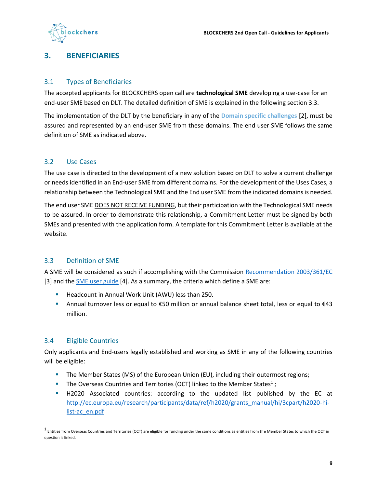

## <span id="page-8-0"></span>**3. BENEFICIARIES**

#### <span id="page-8-1"></span>3.1 Types of Beneficiaries

The accepted applicants for BLOCKCHERS open call are **technological SME** developing a use-case for an end-user SME based on DLT. The detailed definition of SME is explained in the following section 3.3.

The implementation of the DLT by the beneficiary in any of the **Domain specific challenges** [2], must be assured and represented by an end-user SME from these domains. The end user SME follows the same definition of SME as indicated above.

#### <span id="page-8-2"></span>3.2 Use Cases

The use case is directed to the development of a new solution based on DLT to solve a current challenge or needs identified in an End-user SME from different domains. For the development of the Uses Cases, a relationship between the Technological SME and the End user SME from the indicated domains is needed.

The end user SME DOES NOT RECEIVE FUNDING, but their participation with the Technological SME needs to be assured. In order to demonstrate this relationship, a Commitment Letter must be signed by both SMEs and presented with the application form. A template for this Commitment Letter is available at the website.

#### <span id="page-8-3"></span>3.3 Definition of SME

A SME will be considered as such if accomplishing with the Commission [Recommendation 2003/361/EC](http://eur-lex.europa.eu/LexUriServ/LexUriServ.do?uri=OJ:L:2003:124:0036:0041:en:PDF) [\[3](#page-25-2)] and the **SME** user guide [\[4](#page-25-3)]. As a summary, the criteria which define a SME are:

- Headcount in Annual Work Unit (AWU) less than 250.
- Annual turnover less or equal to €50 million or annual balance sheet total, less or equal to €43 million.

#### <span id="page-8-4"></span>3.4 Eligible Countries

Only applicants and End-users legally established and working as SME in any of the following countries will be eligible:

- **•** The Member States (MS) of the European Union (EU), including their outermost regions;
- **The Overseas Countries and Territories (OCT) linked to the Member States**<sup>1</sup>;
- H2020 Associated countries: according to the updated list published by the EC at [http://ec.europa.eu/research/participants/data/ref/h2020/grants\\_manual/hi/3cpart/h2020-hi](http://ec.europa.eu/research/participants/data/ref/h2020/grants_manual/hi/3cpart/h2020-hi-list-ac_en.pdf)[list-ac\\_en.pdf](http://ec.europa.eu/research/participants/data/ref/h2020/grants_manual/hi/3cpart/h2020-hi-list-ac_en.pdf)

 $^1$  Entities from Overseas Countries and Territories (OCT) are eligible for funding under the same conditions as entities from the Member States to which the OCT in question is linked.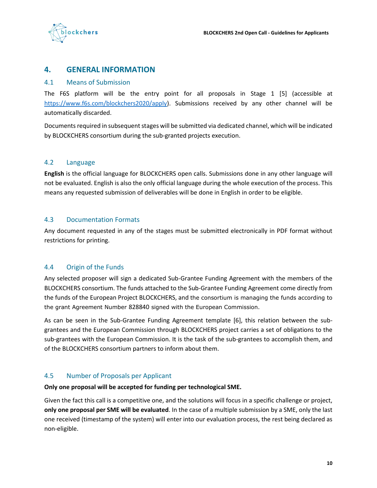

## <span id="page-9-0"></span>**4. GENERAL INFORMATION**

#### <span id="page-9-1"></span>4.1 Means of Submission

The F6S platform will be the entry point for all proposals in Stage 1 [5] (accessible at [https://www.f6s.com/blockchers2020/apply\)](https://www.f6s.com/blockchers2020/apply). Submissions received by any other channel will be automatically discarded.

Documents required in subsequent stages will be submitted via dedicated channel, which will be indicated by BLOCKCHERS consortium during the sub-granted projects execution.

#### <span id="page-9-2"></span>4.2 Language

**English** is the official language for BLOCKCHERS open calls. Submissions done in any other language will not be evaluated. English is also the only official language during the whole execution of the process. This means any requested submission of deliverables will be done in English in order to be eligible.

#### <span id="page-9-3"></span>4.3 Documentation Formats

Any document requested in any of the stages must be submitted electronically in PDF format without restrictions for printing.

#### <span id="page-9-4"></span>4.4 Origin of the Funds

Any selected proposer will sign a dedicated Sub-Grantee Funding Agreement with the members of the BLOCKCHERS consortium. The funds attached to the Sub-Grantee Funding Agreement come directly from the funds of the European Project BLOCKCHERS, and the consortium is managing the funds according to the grant Agreement Number 828840 signed with the European Commission.

As can be seen in the Sub-Grantee Funding Agreement template [\[6](#page-25-4)], this relation between the subgrantees and the European Commission through BLOCKCHERS project carries a set of obligations to the sub-grantees with the European Commission. It is the task of the sub-grantees to accomplish them, and of the BLOCKCHERS consortium partners to inform about them.

#### <span id="page-9-5"></span>4.5 Number of Proposals per Applicant

#### **Only one proposal will be accepted for funding per technological SME.**

Given the fact this call is a competitive one, and the solutions will focus in a specific challenge or project, **only one proposal per SME will be evaluated**. In the case of a multiple submission by a SME, only the last one received (timestamp of the system) will enter into our evaluation process, the rest being declared as non-eligible.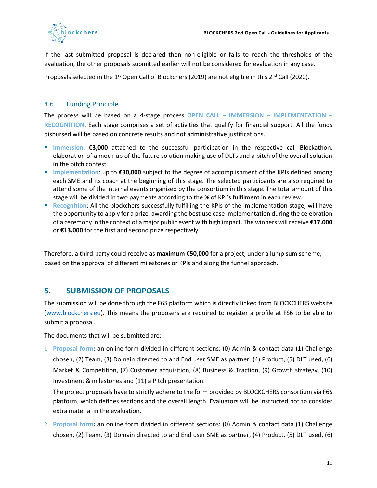

If the last submitted proposal is declared then non-eligible or fails to reach the thresholds of the evaluation, the other proposals submitted earlier will not be considered for evaluation in any case.

Proposals selected in the 1<sup>st</sup> Open Call of Blockchers (2019) are not eligible in this 2<sup>nd</sup> Call (2020).

#### <span id="page-10-0"></span>4.6 Funding Principle

The process will be based on a 4-stage process **OPEN CALL – IMMERSION – IMPLEMENTATION – RECOGNITION**. Each stage comprises a set of activities that qualify for financial support. All the funds disbursed will be based on concrete results and not administrative justifications.

- Immersion: €3,000 attached to the successful participation in the respective call Blockathon, elaboration of a mock-up of the future solution making use of DLTs and a pitch of the overall solution in the pitch contest.
- Implementation: up to **€30,000** subject to the degree of accomplishment of the KPIs defined among each SME and its coach at the beginning of this stage. The selected participants are also required to attend some of the internal events organized by the consortium in this stage. The total amount of this stage will be divided in two payments according to the % of KPI's fulfilment in each review.
- **Recognition:** All the blockchers successfully fulfilling the KPIs of the implementation stage, will have the opportunity to apply for a prize, awarding the best use case implementation during the celebration of a ceremony in the context of a major public event with high impact. The winners will receive **€17.000** or **€13.000** for the first and second prize respectively.

Therefore, a third-party could receive as **maximum €50,000** for a project, under a lump sum scheme, based on the approval of different milestones or KPIs and along the funnel approach.

## <span id="page-10-1"></span>**5. SUBMISSION OF PROPOSALS**

The submission will be done through the F6S platform which is directly linked from BLOCKCHERS website [\(www.blockchers.eu\)](http://www.blockchers.eu/). This means the proposers are required to register a profile at FS6 to be able to submit a proposal.

The documents that will be submitted are:

1. **Proposal form:** an online form divided in different sections: (0) Admin & contact data (1) Challenge chosen, (2) Team, (3) Domain directed to and End user SME as partner, (4) Product, (5) DLT used, (6) Market & Competition, (7) Customer acquisition, (8) Business & Traction, (9) Growth strategy, (10) Investment & milestones and (11) a Pitch presentation.

The project proposals have to strictly adhere to the form provided by BLOCKCHERS consortium via F6S platform, which defines sections and the overall length. Evaluators will be instructed not to consider extra material in the evaluation.

2. **Proposal form:** an online form divided in different sections: (0) Admin & contact data (1) Challenge chosen, (2) Team, (3) Domain directed to and End user SME as partner, (4) Product, (5) DLT used, (6)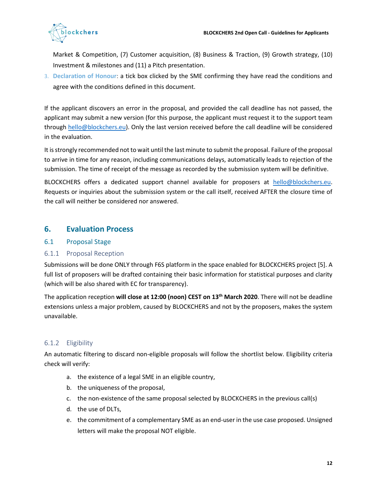

Market & Competition, (7) Customer acquisition, (8) Business & Traction, (9) Growth strategy, (10) Investment & milestones and (11) a Pitch presentation.

3. **Declaration of Honour**: a tick box clicked by the SME confirming they have read the conditions and agree with the conditions defined in this document.

If the applicant discovers an error in the proposal, and provided the call deadline has not passed, the applicant may submit a new version (for this purpose, the applicant must request it to the support team through [hello@blockchers.eu\)](mailto:hello@blockchers.eu). Only the last version received before the call deadline will be considered in the evaluation.

It is strongly recommended not to wait until the last minute to submit the proposal. Failure of the proposal to arrive in time for any reason, including communications delays, automatically leads to rejection of the submission. The time of receipt of the message as recorded by the submission system will be definitive.

BLOCKCHERS offers a dedicated support channel available for proposers at [hello@blockchers.eu.](mailto:hello@blockchers.eu) Requests or inquiries about the submission system or the call itself, received AFTER the closure time of the call will neither be considered nor answered.

## <span id="page-11-0"></span>**6. Evaluation Process**

#### <span id="page-11-1"></span>6.1 Proposal Stage

#### <span id="page-11-2"></span>6.1.1 Proposal Reception

Submissions will be done ONLY through F6S platform in the space enabled for BLOCKCHERS project [\[5](#page-25-1)]. A full list of proposers will be drafted containing their basic information for statistical purposes and clarity (which will be also shared with EC for transparency).

The application reception **will close at 12:00 (noon) CEST on 13th March 2020**. There will not be deadline extensions unless a major problem, caused by BLOCKCHERS and not by the proposers, makes the system unavailable.

#### <span id="page-11-3"></span>6.1.2 Eligibility

An automatic filtering to discard non-eligible proposals will follow the shortlist below. Eligibility criteria check will verify:

- a. the existence of a legal SME in an eligible country,
- b. the uniqueness of the proposal,
- c. the non-existence of the same proposal selected by BLOCKCHERS in the previous call(s)
- d. the use of DLTs,
- e. the commitment of a complementary SME as an end-user in the use case proposed. Unsigned letters will make the proposal NOT eligible.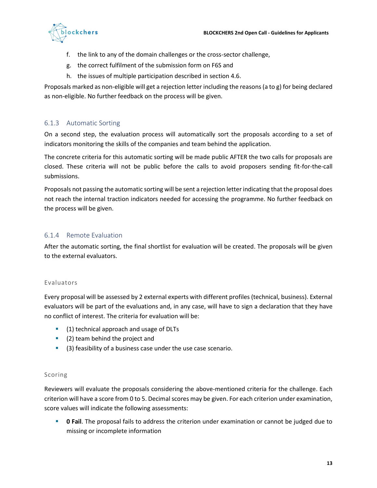

- f. the link to any of the domain challenges or the cross-sector challenge,
- g. the correct fulfilment of the submission form on F6S and
- h. the issues of multiple participation described in section 4.6.

Proposals marked as non-eligible will get a rejection letter including the reasons (a to g) for being declared as non-eligible. No further feedback on the process will be given.

#### <span id="page-12-0"></span>6.1.3 Automatic Sorting

On a second step, the evaluation process will automatically sort the proposals according to a set of indicators monitoring the skills of the companies and team behind the application.

The concrete criteria for this automatic sorting will be made public AFTER the two calls for proposals are closed. These criteria will not be public before the calls to avoid proposers sending fit-for-the-call submissions.

Proposals not passing the automatic sorting will be sent a rejection letter indicating that the proposal does not reach the internal traction indicators needed for accessing the programme. No further feedback on the process will be given.

#### <span id="page-12-1"></span>6.1.4 Remote Evaluation

After the automatic sorting, the final shortlist for evaluation will be created. The proposals will be given to the external evaluators.

#### Evaluators

Every proposal will be assessed by 2 external experts with different profiles (technical, business). External evaluators will be part of the evaluations and, in any case, will have to sign a declaration that they have no conflict of interest. The criteria for evaluation will be:

- (1) technical approach and usage of DLTs
- (2) team behind the project and
- (3) feasibility of a business case under the use case scenario.

#### Scoring

Reviewers will evaluate the proposals considering the above-mentioned criteria for the challenge. Each criterion will have a score from 0 to 5. Decimal scores may be given. For each criterion under examination, score values will indicate the following assessments:

**• 0 Fail**. The proposal fails to address the criterion under examination or cannot be judged due to missing or incomplete information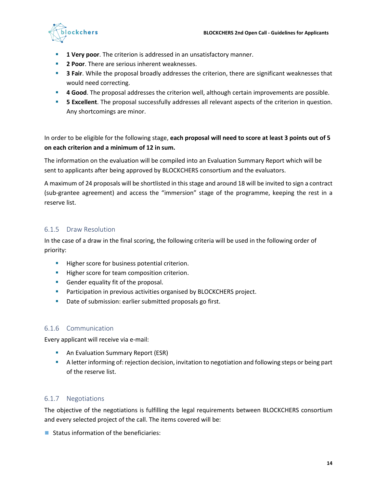

- **1 Very poor**. The criterion is addressed in an unsatisfactory manner.
- **2 Poor**. There are serious inherent weaknesses.
- **B** 3 Fair. While the proposal broadly addresses the criterion, there are significant weaknesses that would need correcting.
- **4 Good**. The proposal addresses the criterion well, although certain improvements are possible.
- **5 Excellent**. The proposal successfully addresses all relevant aspects of the criterion in question. Any shortcomings are minor.

In order to be eligible for the following stage, **each proposal will need to score at least 3 points out of 5 on each criterion and a minimum of 12 in sum.**

The information on the evaluation will be compiled into an Evaluation Summary Report which will be sent to applicants after being approved by BLOCKCHERS consortium and the evaluators.

A maximum of 24 proposals will be shortlisted in this stage and around 18 will be invited to sign a contract (sub-grantee agreement) and access the "immersion" stage of the programme, keeping the rest in a reserve list.

#### <span id="page-13-0"></span>6.1.5 Draw Resolution

In the case of a draw in the final scoring, the following criteria will be used in the following order of priority:

- **E** Higher score for business potential criterion.
- **EXECT:** Higher score for team composition criterion.
- Gender equality fit of the proposal.
- **•** Participation in previous activities organised by BLOCKCHERS project.
- Date of submission: earlier submitted proposals go first.

#### <span id="page-13-1"></span>6.1.6 Communication

Every applicant will receive via e-mail:

- **E** An Evaluation Summary Report (ESR)
- **EXECT A letter informing of: rejection decision, invitation to negotiation and following steps or being part** of the reserve list.

#### <span id="page-13-2"></span>6.1.7 Negotiations

The objective of the negotiations is fulfilling the legal requirements between BLOCKCHERS consortium and every selected project of the call. The items covered will be:

■ Status information of the beneficiaries: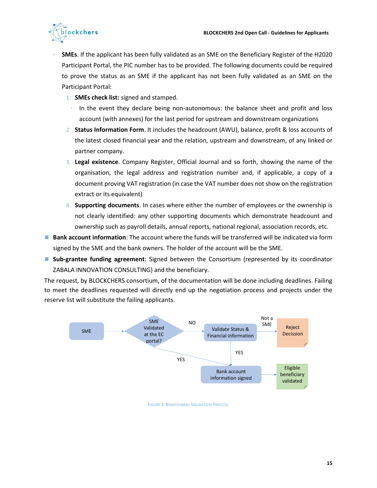

- **SMEs**. If the applicant has been fully validated as an SME on the Beneficiary Register of the H2020 Participant Portal, the PIC number has to be provided. The following documents could be required to prove the status as an SME if the applicant has not been fully validated as an SME on the Participant Portal:
	- 1. **SMEs check list:** signed and stamped.
	- In the event they declare being non-autonomous: the balance sheet and profit and loss account (with annexes) for the last period for upstream and downstream organizations
	- 2. **Status Information Form**. It includes the headcount (AWU), balance, profit & loss accounts of the latest closed financial year and the relation, upstream and downstream, of any linked or partner company.
	- 3. **Legal existence**. Company Register, Official Journal and so forth, showing the name of the organisation, the legal address and registration number and, if applicable, a copy of a document proving VAT registration (in case the VAT number does not show on the registration extract or its equivalent)
	- 4. **Supporting documents**. In cases where either the number of employees or the ownership is not clearly identified: any other supporting documents which demonstrate headcount and ownership such as payroll details, annual reports, national regional, association records, etc.
- **Bank account information**: The account where the funds will be transferred will be indicated via form signed by the SME and the bank owners. The holder of the account will be the SME.
- Sub-grantee funding agreement: Signed between the Consortium (represented by its coordinator ZABALA INNOVATION CONSULTING) and the beneficiary.

The request, by BLOCKCHERS consortium, of the documentation will be done including deadlines. Failing to meet the deadlines requested will directly end up the negotiation process and projects under the reserve list will substitute the failing applicants.

<span id="page-14-0"></span>

FIGURE 3. BENEFICIARIES VALIDATION PROCESS.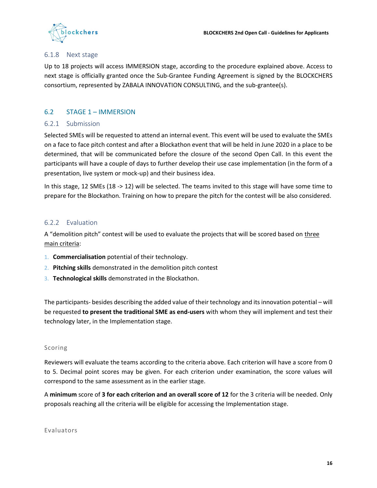

#### <span id="page-15-0"></span>6.1.8 Next stage

Up to 18 projects will access IMMERSION stage, according to the procedure explained above. Access to next stage is officially granted once the Sub-Grantee Funding Agreement is signed by the BLOCKCHERS consortium, represented by ZABALA INNOVATION CONSULTING, and the sub-grantee(s).

#### <span id="page-15-1"></span>6.2 STAGE 1 – IMMERSION

#### <span id="page-15-2"></span>6.2.1 Submission

Selected SMEs will be requested to attend an internal event. This event will be used to evaluate the SMEs on a face to face pitch contest and after a Blockathon event that will be held in June 2020 in a place to be determined, that will be communicated before the closure of the second Open Call. In this event the participants will have a couple of days to further develop their use case implementation (in the form of a presentation, live system or mock-up) and their business idea.

In this stage, 12 SMEs (18 -> 12) will be selected. The teams invited to this stage will have some time to prepare for the Blockathon. Training on how to prepare the pitch for the contest will be also considered.

#### <span id="page-15-3"></span>6.2.2 Evaluation

A "demolition pitch" contest will be used to evaluate the projects that will be scored based on three main criteria:

- 1. **Commercialisation** potential of their technology.
- 2. **Pitching skills** demonstrated in the demolition pitch contest
- 3. **Technological skills** demonstrated in the Blockathon.

The participants- besides describing the added value of their technology and its innovation potential – will be requested **to present the traditional SME as end-users** with whom they will implement and test their technology later, in the Implementation stage.

#### Scoring

Reviewers will evaluate the teams according to the criteria above. Each criterion will have a score from 0 to 5. Decimal point scores may be given. For each criterion under examination, the score values will correspond to the same assessment as in the earlier stage.

A **minimum** score of **3 for each criterion and an overall score of 12** for the 3 criteria will be needed. Only proposals reaching all the criteria will be eligible for accessing the Implementation stage.

Evaluators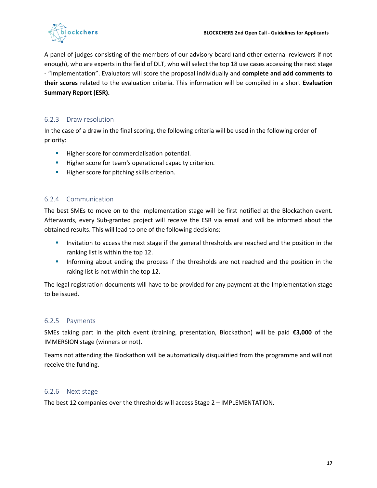

A panel of judges consisting of the members of our advisory board (and other external reviewers if not enough), who are experts in the field of DLT, who will select the top 18 use cases accessing the next stage - "Implementation". Evaluators will score the proposal individually and **complete and add comments to their scores** related to the evaluation criteria. This information will be compiled in a short **Evaluation Summary Report (ESR).**

#### <span id="page-16-0"></span>6.2.3 Draw resolution

In the case of a draw in the final scoring, the following criteria will be used in the following order of priority:

- **EXECTE:** Higher score for commercialisation potential.
- **E** Higher score for team's operational capacity criterion.
- **·** Higher score for pitching skills criterion.

#### <span id="page-16-1"></span>6.2.4 Communication

The best SMEs to move on to the Implementation stage will be first notified at the Blockathon event. Afterwards, every Sub-granted project will receive the ESR via email and will be informed about the obtained results. This will lead to one of the following decisions:

- **■** Invitation to access the next stage if the general thresholds are reached and the position in the ranking list is within the top 12.
- **•** Informing about ending the process if the thresholds are not reached and the position in the raking list is not within the top 12.

The legal registration documents will have to be provided for any payment at the Implementation stage to be issued.

#### <span id="page-16-2"></span>6.2.5 Payments

SMEs taking part in the pitch event (training, presentation, Blockathon) will be paid **€3,000** of the IMMERSION stage (winners or not).

Teams not attending the Blockathon will be automatically disqualified from the programme and will not receive the funding.

#### <span id="page-16-3"></span>6.2.6 Next stage

The best 12 companies over the thresholds will access Stage 2 – IMPLEMENTATION.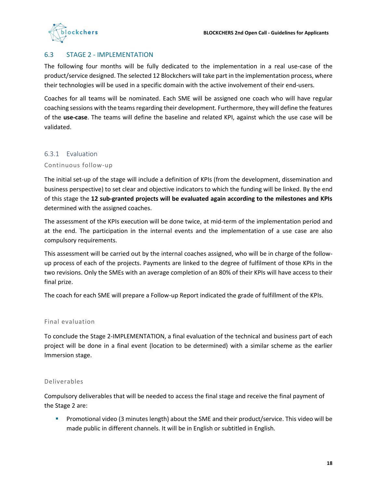

#### <span id="page-17-0"></span>6.3 STAGE 2 - IMPLEMENTATION

The following four months will be fully dedicated to the implementation in a real use-case of the product/service designed. The selected 12 Blockchers will take part in the implementation process, where their technologies will be used in a specific domain with the active involvement of their end-users.

Coaches for all teams will be nominated. Each SME will be assigned one coach who will have regular coaching sessions with the teams regarding their development. Furthermore, they will define the features of the **use-case**. The teams will define the baseline and related KPI, against which the use case will be validated.

#### <span id="page-17-1"></span>6.3.1 Evaluation

#### Continuous follow-up

The initial set-up of the stage will include a definition of KPIs (from the development, dissemination and business perspective) to set clear and objective indicators to which the funding will be linked. By the end of this stage the **12 sub-granted projects will be evaluated again according to the milestones and KPIs** determined with the assigned coaches.

The assessment of the KPIs execution will be done twice, at mid-term of the implementation period and at the end. The participation in the internal events and the implementation of a use case are also compulsory requirements.

This assessment will be carried out by the internal coaches assigned, who will be in charge of the followup process of each of the projects. Payments are linked to the degree of fulfilment of those KPIs in the two revisions. Only the SMEs with an average completion of an 80% of their KPIs will have access to their final prize.

The coach for each SME will prepare a Follow-up Report indicated the grade of fulfillment of the KPIs.

#### Final evaluation

To conclude the Stage 2-IMPLEMENTATION, a final evaluation of the technical and business part of each project will be done in a final event (location to be determined) with a similar scheme as the earlier Immersion stage.

#### Deliverables

Compulsory deliverables that will be needed to access the final stage and receive the final payment of the Stage 2 are:

**•** Promotional video (3 minutes length) about the SME and their product/service. This video will be made public in different channels. It will be in English or subtitled in English.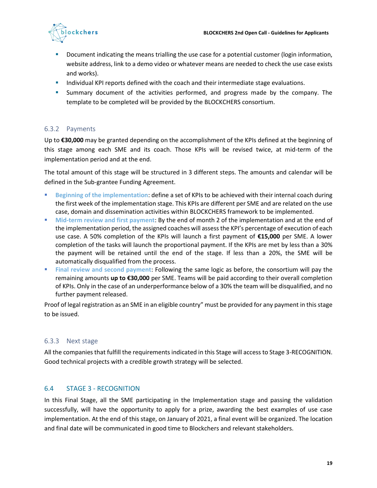

- **•** Document indicating the means trialling the use case for a potential customer (login information, website address, link to a demo video or whatever means are needed to check the use case exists and works).
- **E** Individual KPI reports defined with the coach and their intermediate stage evaluations.
- **EXECUTE:** Summary document of the activities performed, and progress made by the company. The template to be completed will be provided by the BLOCKCHERS consortium.

#### <span id="page-18-0"></span>6.3.2 Payments

Up to **€30,000** may be granted depending on the accomplishment of the KPIs defined at the beginning of this stage among each SME and its coach. Those KPIs will be revised twice, at mid-term of the implementation period and at the end.

The total amount of this stage will be structured in 3 different steps. The amounts and calendar will be defined in the Sub-grantee Funding Agreement.

- **Beginning of the implementation: define a set of KPIs to be achieved with their internal coach during** the first week of the implementation stage. This KPIs are different per SME and are related on the use case, domain and dissemination activities within BLOCKCHERS framework to be implemented.
- **■** Mid-term review and first payment: By the end of month 2 of the implementation and at the end of the implementation period, the assigned coaches will assess the KPI's percentage of execution of each use case. A 50% completion of the KPIs will launch a first payment of **€15,000** per SME. A lower completion of the tasks will launch the proportional payment. If the KPIs are met by less than a 30% the payment will be retained until the end of the stage. If less than a 20%, the SME will be automatically disqualified from the process.
- **Final review and second payment**: Following the same logic as before, the consortium will pay the remaining amounts **up to €30,000** per SME. Teams will be paid according to their overall completion of KPIs. Only in the case of an underperformance below of a 30% the team will be disqualified, and no further payment released.

Proof of legal registration as an SME in an eligible country" must be provided for any payment in this stage to be issued.

#### <span id="page-18-1"></span>6.3.3 Next stage

All the companies that fulfill the requirements indicated in this Stage will access to Stage 3-RECOGNITION. Good technical projects with a credible growth strategy will be selected.

#### <span id="page-18-2"></span>6.4 STAGE 3 - RECOGNITION

In this Final Stage, all the SME participating in the Implementation stage and passing the validation successfully, will have the opportunity to apply for a prize, awarding the best examples of use case implementation. At the end of this stage, on January of 2021, a final event will be organized. The location and final date will be communicated in good time to Blockchers and relevant stakeholders.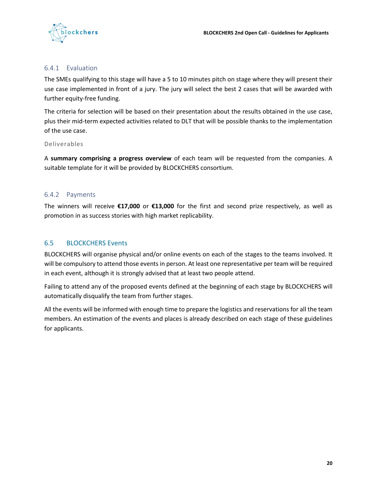

#### <span id="page-19-0"></span>6.4.1 Evaluation

The SMEs qualifying to this stage will have a 5 to 10 minutes pitch on stage where they will present their use case implemented in front of a jury. The jury will select the best 2 cases that will be awarded with further equity-free funding.

The criteria for selection will be based on their presentation about the results obtained in the use case, plus their mid-term expected activities related to DLT that will be possible thanks to the implementation of the use case.

#### Deliverables

A **summary comprising a progress overview** of each team will be requested from the companies. A suitable template for it will be provided by BLOCKCHERS consortium.

#### <span id="page-19-1"></span>6.4.2 Payments

The winners will receive **€17,000** or **€13,000** for the first and second prize respectively, as well as promotion in as success stories with high market replicability.

#### <span id="page-19-2"></span>6.5 BLOCKCHERS Events

BLOCKCHERS will organise physical and/or online events on each of the stages to the teams involved. It will be compulsory to attend those events in person. At least one representative per team will be required in each event, although it is strongly advised that at least two people attend.

Failing to attend any of the proposed events defined at the beginning of each stage by BLOCKCHERS will automatically disqualify the team from further stages.

All the events will be informed with enough time to prepare the logistics and reservations for all the team members. An estimation of the events and places is already described on each stage of these guidelines for applicants.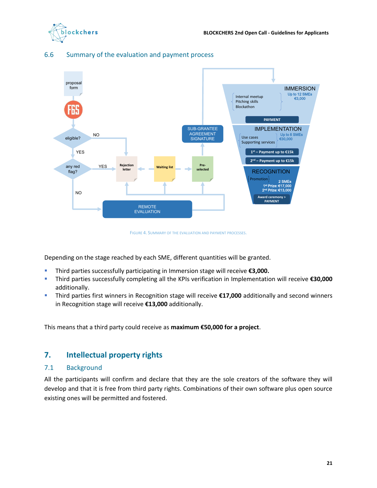



#### <span id="page-20-0"></span>6.6 Summary of the evaluation and payment process

FIGURE 4. SUMMARY OF THE EVALUATION AND PAYMENT PROCESSES.

<span id="page-20-3"></span>Depending on the stage reached by each SME, different quantities will be granted.

- Third parties successfully participating in Immersion stage will receive **€3,000.**
- Third parties successfully completing all the KPIs verification in Implementation will receive **€30,000** additionally.
- Third parties first winners in Recognition stage will receive **€17,000** additionally and second winners in Recognition stage will receive **€13,000** additionally.

This means that a third party could receive as **maximum €50,000 for a project**.

#### <span id="page-20-1"></span>**7. Intellectual property rights**

#### <span id="page-20-2"></span>7.1 Background

All the participants will confirm and declare that they are the sole creators of the software they will develop and that it is free from third party rights. Combinations of their own software plus open source existing ones will be permitted and fostered.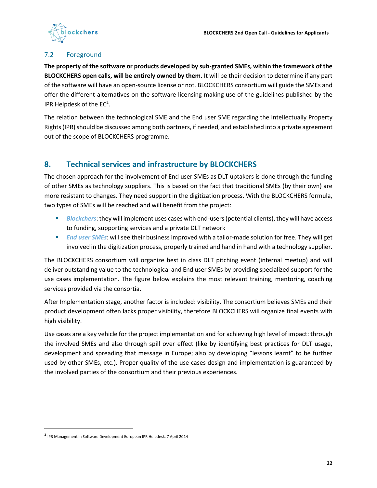

#### <span id="page-21-0"></span>7.2 Foreground

**The property of the software or products developed by sub-granted SMEs, within the framework of the BLOCKCHERS open calls, will be entirely owned by them**. It will be their decision to determine if any part of the software will have an open-source license or not. BLOCKCHERS consortium will guide the SMEs and offer the different alternatives on the software licensing making use of the guidelines published by the IPR Helpdesk of the  $EC<sup>2</sup>$ .

The relation between the technological SME and the End user SME regarding the Intellectually Property Rights (IPR) should be discussed among both partners, if needed, and established into a private agreement out of the scope of BLOCKCHERS programme.

# <span id="page-21-1"></span>**8. Technical services and infrastructure by BLOCKCHERS**

The chosen approach for the involvement of End user SMEs as DLT uptakers is done through the funding of other SMEs as technology suppliers. This is based on the fact that traditional SMEs (by their own) are more resistant to changes. They need support in the digitization process. With the BLOCKCHERS formula, two types of SMEs will be reached and will benefit from the project:

- *Blockchers*: they will implement uses cases with end-users (potential clients), they will have access to funding, supporting services and a private DLT network
- *End user SMEs*: will see their business improved with a tailor-made solution for free. They will get involved in the digitization process, properly trained and hand in hand with a technology supplier.

The BLOCKCHERS consortium will organize best in class DLT pitching event (internal meetup) and will deliver outstanding value to the technological and End user SMEs by providing specialized support for the use cases implementation. The figure below explains the most relevant training, mentoring, coaching services provided via the consortia.

After Implementation stage, another factor is included: visibility. The consortium believes SMEs and their product development often lacks proper visibility, therefore BLOCKCHERS will organize final events with high visibility.

Use cases are a key vehicle for the project implementation and for achieving high level of impact: through the involved SMEs and also through spill over effect (like by identifying best practices for DLT usage, development and spreading that message in Europe; also by developing "lessons learnt" to be further used by other SMEs, etc.). Proper quality of the use cases design and implementation is guaranteed by the involved parties of the consortium and their previous experiences.

<sup>2</sup> IPR Management in Software Development European IPR Helpdesk, 7 April 2014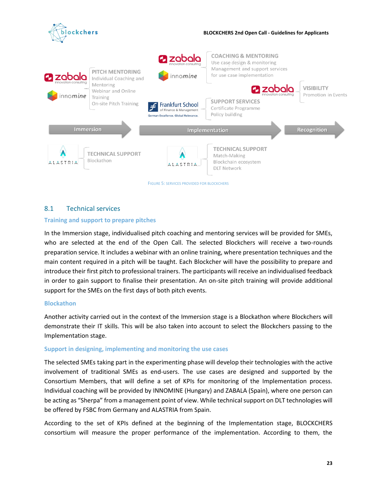

#### <span id="page-22-1"></span><span id="page-22-0"></span>8.1 Technical services

#### **Training and support to prepare pitches**

In the Immersion stage, individualised pitch coaching and mentoring services will be provided for SMEs, who are selected at the end of the Open Call. The selected Blockchers will receive a two-rounds preparation service. It includes a webinar with an online training, where presentation techniques and the main content required in a pitch will be taught. Each Blockcher will have the possibility to prepare and introduce their first pitch to professional trainers. The participants will receive an individualised feedback in order to gain support to finalise their presentation. An on-site pitch training will provide additional support for the SMEs on the first days of both pitch events.

#### **Blockathon**

Another activity carried out in the context of the Immersion stage is a Blockathon where Blockchers will demonstrate their IT skills. This will be also taken into account to select the Blockchers passing to the Implementation stage.

#### **Support in designing, implementing and monitoring the use cases**

The selected SMEs taking part in the experimenting phase will develop their technologies with the active involvement of traditional SMEs as end-users. The use cases are designed and supported by the Consortium Members, that will define a set of KPIs for monitoring of the Implementation process. Individual coaching will be provided by INNOMINE (Hungary) and ZABALA (Spain), where one person can be acting as "Sherpa" from a management point of view. While technical support on DLT technologies will be offered by FSBC from Germany and ALASTRIA from Spain.

According to the set of KPIs defined at the beginning of the Implementation stage, BLOCKCHERS consortium will measure the proper performance of the implementation. According to them, the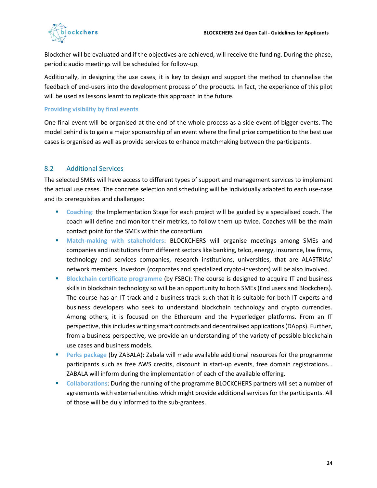

Blockcher will be evaluated and if the objectives are achieved, will receive the funding. During the phase, periodic audio meetings will be scheduled for follow-up.

Additionally, in designing the use cases, it is key to design and support the method to channelise the feedback of end-users into the development process of the products. In fact, the experience of this pilot will be used as lessons learnt to replicate this approach in the future.

#### **Providing visibility by final events**

One final event will be organised at the end of the whole process as a side event of bigger events. The model behind is to gain a major sponsorship of an event where the final prize competition to the best use cases is organised as well as provide services to enhance matchmaking between the participants.

#### <span id="page-23-0"></span>8.2 Additional Services

The selected SMEs will have access to different types of support and management services to implement the actual use cases. The concrete selection and scheduling will be individually adapted to each use-case and its prerequisites and challenges:

- **EXECOACHIME**: the Implementation Stage for each project will be guided by a specialised coach. The coach will define and monitor their metrics, to follow them up twice. Coaches will be the main contact point for the SMEs within the consortium
- **Match-making with stakeholders**: BLOCKCHERS will organise meetings among SMEs and companies and institutions from different sectors like banking, telco, energy, insurance, law firms, technology and services companies, research institutions, universities, that are ALASTRIAs' network members. Investors (corporates and specialized crypto-investors) will be also involved.
- **Blockchain certificate programme (by FSBC)**: The course is designed to acquire IT and business skills in blockchain technology so will be an opportunity to both SMEs (End users and Blockchers). The course has an IT track and a business track such that it is suitable for both IT experts and business developers who seek to understand blockchain technology and crypto currencies. Among others, it is focused on the Ethereum and the Hyperledger platforms. From an IT perspective, this includes writing smart contracts and decentralised applications (DApps). Further, from a business perspective, we provide an understanding of the variety of possible blockchain use cases and business models.
- **EXPERENG** Package (by ZABALA): Zabala will made available additional resources for the programme participants such as free AWS credits, discount in start-up events, free domain registrations… ZABALA will inform during the implementation of each of the available offering.
- **Collaborations**: During the running of the programme BLOCKCHERS partners will set a number of agreements with external entities which might provide additional services for the participants. All of those will be duly informed to the sub-grantees.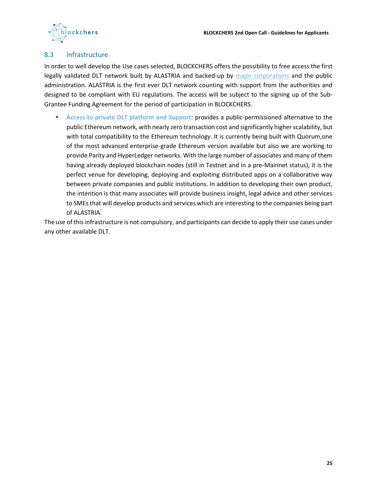

#### <span id="page-24-0"></span>8.3 Infrastructure

In order to well develop the Use cases selected, BLOCKCHERS offers the possibility to free access the first legally validated DLT network built by ALASTRIA and backed-up by [major corporations](https://alastria.io/assets/docs/Alastria_Presentacio%CC%81n_general_.pdf) and the public administration. ALASTRIA is the first ever DLT network counting with support from the authorities and designed to be compliant with EU regulations. The access will be subject to the signing up of the Sub-Grantee Funding Agreement for the period of participation in BLOCKCHERS.

■ Access to private DLT platform and Support: provides a public-permissioned alternative to the public Ethereum network, with nearly zero transaction cost and significantly higher scalability, but with total compatibility to the Ethereum technology. It is currently being built with Quorum,one of the most advanced enterprise-grade Ethereum version available but also we are working to provide Parity and HyperLedger networks. With the large number of associates and many of them having already deployed blockchain nodes (still in Testnet and in a pre-Mainnet status), it is the perfect venue for developing, deploying and exploiting distributed apps on a collaborative way between private companies and public institutions. In addition to developing their own product, the intention is that many associates will provide business insight, legal advice and other services to SMEs that will develop products and services which are interesting to the companies being part of ALASTRIA.

The use of this infrastructure is not compulsory, and participants can decide to apply their use cases under any other available DLT.